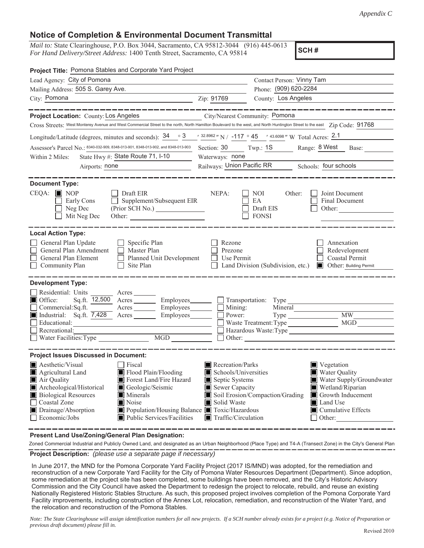## **Notice of Completion & Environmental Document Transmittal**

*Mail to:* State Clearinghouse, P.O. Box 3044, Sacramento, CA 95812-3044 (916) 445-0613 *For Hand Delivery/Street Address:* 1400 Tenth Street, Sacramento, CA 95814

**SCH #**

| Project Title: Pomona Stables and Corporate Yard Project                                                                                                                                                                                                                                                                                                                         |                                                                                                                                                  |                                                    |                                                                                                                                                                       |  |
|----------------------------------------------------------------------------------------------------------------------------------------------------------------------------------------------------------------------------------------------------------------------------------------------------------------------------------------------------------------------------------|--------------------------------------------------------------------------------------------------------------------------------------------------|----------------------------------------------------|-----------------------------------------------------------------------------------------------------------------------------------------------------------------------|--|
| Lead Agency: City of Pomona                                                                                                                                                                                                                                                                                                                                                      |                                                                                                                                                  | Contact Person: Vinny Tam                          |                                                                                                                                                                       |  |
| Mailing Address: 505 S. Garey Ave.<br>the control of the control of the control of                                                                                                                                                                                                                                                                                               |                                                                                                                                                  | Phone: (909) 620-2284                              |                                                                                                                                                                       |  |
| City: Pomona<br><u> 1980 - Johann Barbara, martin amerikan ba</u>                                                                                                                                                                                                                                                                                                                | Zip: 91769                                                                                                                                       | County: Los Angeles                                |                                                                                                                                                                       |  |
| Project Location: County: Los Angeles City/Nearest Community: Pomona                                                                                                                                                                                                                                                                                                             |                                                                                                                                                  |                                                    |                                                                                                                                                                       |  |
| Cross Streets: West Monterey Avenue and West Commercial Street to the north, North Hamilton Boulevard to the west, and North Huntington Street to the east Zip Code: 91768                                                                                                                                                                                                       |                                                                                                                                                  |                                                    |                                                                                                                                                                       |  |
| Longitude/Latitude (degrees, minutes and seconds): $34 \degree$ 3 $\degree$ 3 $\degree$ 32.8962" N / -117 $\degree$ 45 $\degree$ 43.6098" W Total Acres: 2.1                                                                                                                                                                                                                     |                                                                                                                                                  |                                                    |                                                                                                                                                                       |  |
| Assessor's Parcel No.: 8340-032-909, 8348-013-901, 8348-013-902, and 8348-013-903                                                                                                                                                                                                                                                                                                | $\frac{1}{2}$ Twp.: $\frac{1S}{1S}$ Range: $\frac{8 \text{ West}}{1}$<br>Section: 30<br>Base:                                                    |                                                    |                                                                                                                                                                       |  |
| State Hwy #: State Route 71, I-10<br>Within 2 Miles:                                                                                                                                                                                                                                                                                                                             | Waterways: none                                                                                                                                  |                                                    |                                                                                                                                                                       |  |
| Airports: none                                                                                                                                                                                                                                                                                                                                                                   | Railways: Union Pacific RR Schools: four schools                                                                                                 |                                                    |                                                                                                                                                                       |  |
|                                                                                                                                                                                                                                                                                                                                                                                  |                                                                                                                                                  |                                                    |                                                                                                                                                                       |  |
| <b>Document Type:</b><br>$\Box$ Draft EIR<br>$CEQA: \Box \text{NOP}$<br>Early Cons<br>Supplement/Subsequent EIR<br>(Prior SCH No.)<br>Neg Dec<br>Mit Neg Dec<br>Other:                                                                                                                                                                                                           | NEPA:<br>$\mathsf{L}$                                                                                                                            | NOI -<br>Other:<br>EA<br>Draft EIS<br>$\Box$ FONSI | Joint Document<br><b>Final Document</b><br>Other:                                                                                                                     |  |
| <b>Local Action Type:</b><br>General Plan Update<br>$\Box$ Specific Plan<br>General Plan Amendment<br>$\Box$ Master Plan<br>General Plan Element<br>Planned Unit Development<br>$\Box$ Site Plan<br>Community Plan                                                                                                                                                               | Rezone<br>Prezone<br>Use Permit                                                                                                                  |                                                    | Annexation<br>Redevelopment<br><b>Coastal Permit</b><br>□ Land Division (Subdivision, etc.) ■ Other: Building Permit                                                  |  |
| <b>Development Type:</b><br>Residential: Units<br>$\blacksquare$ Office:<br>Sq.ft. 12,500 Acres Employees                                                                                                                                                                                                                                                                        |                                                                                                                                                  | $\Box$ Transportation: Type                        |                                                                                                                                                                       |  |
| Acres Employees Mining:<br>Commercial:Sq.ft.                                                                                                                                                                                                                                                                                                                                     |                                                                                                                                                  |                                                    | <b>MW</b>                                                                                                                                                             |  |
| Industrial: Sq.ft. 7,428 Acres Employees <u>Finances</u> D Power:<br>MGD<br>Waste Treatment: Type<br>Educational:                                                                                                                                                                                                                                                                |                                                                                                                                                  |                                                    |                                                                                                                                                                       |  |
| Recreational:                                                                                                                                                                                                                                                                                                                                                                    | Hazardous Waste:Type                                                                                                                             |                                                    |                                                                                                                                                                       |  |
| □ Nater Facilities:Type Nater Reciprocess National Records<br>$\underline{\text{MGD}}$                                                                                                                                                                                                                                                                                           |                                                                                                                                                  |                                                    |                                                                                                                                                                       |  |
| <b>Project Issues Discussed in Document:</b>                                                                                                                                                                                                                                                                                                                                     |                                                                                                                                                  |                                                    |                                                                                                                                                                       |  |
| Aesthetic/Visual<br>$\Box$ Fiscal<br>Agricultural Land<br>Flood Plain/Flooding<br>Forest Land/Fire Hazard<br>Air Quality<br>Archeological/Historical<br>Geologic/Seismic<br><b>Biological Resources</b><br><b>Minerals</b><br>Noise<br>Coastal Zone<br>Population/Housing Balance Toxic/Hazardous<br>Drainage/Absorption<br>$\Box$ Economic/Jobs<br>■ Public Services/Facilities | $\blacksquare$ Recreation/Parks<br>Schools/Universities<br>Septic Systems<br>Sewer Capacity<br>Solid Waste<br>$\blacksquare$ Traffic/Circulation | Soil Erosion/Compaction/Grading                    | <b>N</b> Vegetation<br>Water Quality<br>Water Supply/Groundwater<br>Wetland/Riparian<br>Growth Inducement<br><b>I</b> Land Use<br>$\Box$ Cumulative Effects<br>Other: |  |

**Present Land Use/Zoning/General Plan Designation:**

**Project Description:** *(please use a separate page if necessary)* Zoned Commercial Industrial and Publicly Owned Land, and designated as an Urban Neighborhood (Place Type) and T4-A (Transect Zone) in the City's General Plan

In June 2017, the MND for the Pomona Corporate Yard Facility Project (2017 IS/MND) was adopted, for the remediation and reconstruction of a new Corporate Yard Facility for the City of Pomona Water Resources Department (Department). Since adoption, some remediation at the project site has been completed, some buildings have been removed, and the City's Historic Advisory Commission and the City Council have asked the Department to redesign the project to relocate, rebuild, and reuse an existing Nationally Registered Historic Stables Structure. As such, this proposed project involves completion of the Pomona Corporate Yard Facility improvements, including construction of the Annex Lot, relocation, remediation, and reconstruction of the Water Yard, and the relocation and reconstruction of the Pomona Stables.

*Note: The State Clearinghouse will assign identification numbers for all new projects. If a SCH number already exists for a project (e.g. Notice of Preparation or previous draft document) please fill in.*